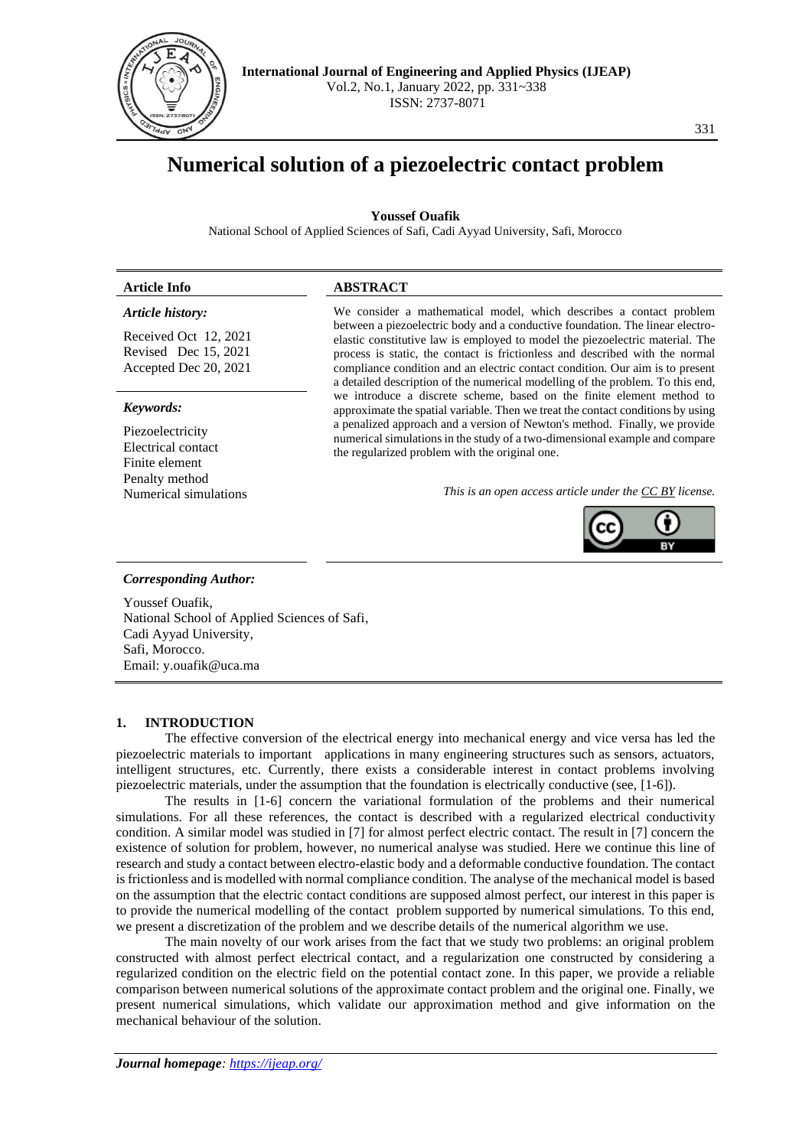

# **Numerical solution of a piezoelectric contact problem**

# **Youssef Ouafik**

National School of Applied Sciences of Safi, Cadi Ayyad University, Safi, Morocco

# **Article Info ABSTRACT**

# *Article history:*

Received Oct 12, 2021 Revised Dec 15, 2021 Accepted Dec 20, 2021

### *Keywords:*

Piezoelectricity Electrical contact Finite element Penalty method

We consider a mathematical model, which describes a contact problem between a piezoelectric body and a conductive foundation. The linear electroelastic constitutive law is employed to model the piezoelectric material. The process is static, the contact is frictionless and described with the normal compliance condition and an electric contact condition. Our aim is to present a detailed description of the numerical modelling of the problem. To this end, we introduce a discrete scheme, based on the finite element method to approximate the spatial variable. Then we treat the contact conditions by using a penalized approach and a version of Newton's method. Finally, we provide numerical simulations in the study of a two-dimensional example and compare the regularized problem with the original one.

Numerical simulations *This is an open access article under the [CC BY](https://creativecommons.org/licenses/by/4.0/) license.*



#### *Corresponding Author:*

Youssef Ouafik, National School of Applied Sciences of Safi, Cadi Ayyad University, Safi, Morocco. Email: y.ouafik@uca.ma

## **1. INTRODUCTION**

The effective conversion of the electrical energy into mechanical energy and vice versa has led the piezoelectric materials to important applications in many engineering structures such as sensors, actuators, intelligent structures, etc. Currently, there exists a considerable interest in contact problems involving piezoelectric materials, under the assumption that the foundation is electrically conductive (see, [1-6]).

The results in [1-6] concern the variational formulation of the problems and their numerical simulations. For all these references, the contact is described with a regularized electrical conductivity condition. A similar model was studied in [7] for almost perfect electric contact. The result in [7] concern the existence of solution for problem, however, no numerical analyse was studied. Here we continue this line of research and study a contact between electro-elastic body and a deformable conductive foundation. The contact is frictionless and is modelled with normal compliance condition. The analyse of the mechanical model is based on the assumption that the electric contact conditions are supposed almost perfect, our interest in this paper is to provide the numerical modelling of the contact problem supported by numerical simulations. To this end, we present a discretization of the problem and we describe details of the numerical algorithm we use.

The main novelty of our work arises from the fact that we study two problems: an original problem constructed with almost perfect electrical contact, and a regularization one constructed by considering a regularized condition on the electric field on the potential contact zone. In this paper, we provide a reliable comparison between numerical solutions of the approximate contact problem and the original one. Finally, we present numerical simulations, which validate our approximation method and give information on the mechanical behaviour of the solution.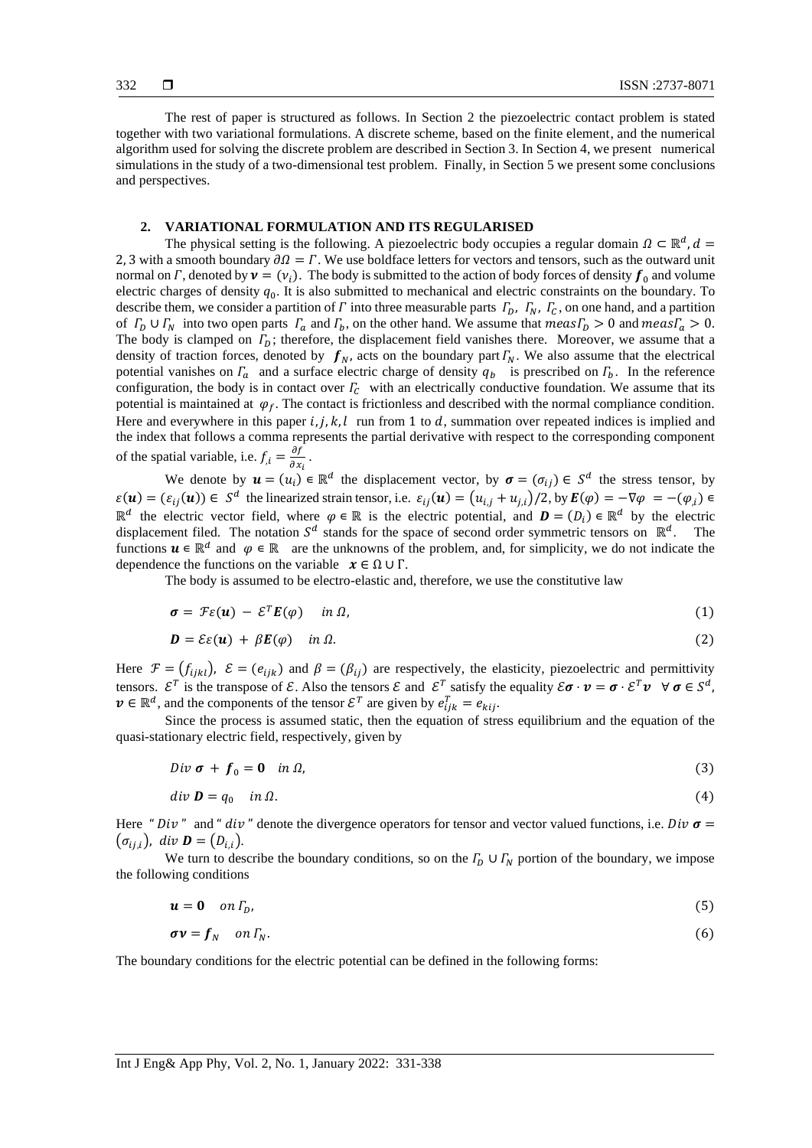The rest of paper is structured as follows. In Section 2 the piezoelectric contact problem is stated together with two variational formulations. A discrete scheme, based on the finite element, and the numerical algorithm used for solving the discrete problem are described in Section 3. In Section 4, we present numerical simulations in the study of a two-dimensional test problem. Finally, in Section 5 we present some conclusions and perspectives.

## **2. VARIATIONAL FORMULATION AND ITS REGULARISED**

The physical setting is the following. A piezoelectric body occupies a regular domain  $\Omega \subset \mathbb{R}^d$ ,  $d =$ 2, 3 with a smooth boundary  $\partial \Omega = \Gamma$ . We use boldface letters for vectors and tensors, such as the outward unit normal on  $\Gamma$ , denoted by  $\mathbf{v} = (v_i)$ . The body is submitted to the action of body forces of density  $\mathbf{f}_0$  and volume electric charges of density  $q_0$ . It is also submitted to mechanical and electric constraints on the boundary. To describe them, we consider a partition of  $\Gamma$  into three measurable parts  $\Gamma_D$ ,  $\Gamma_N$ ,  $\Gamma_C$ , on one hand, and a partition of  $\Gamma_D \cup \Gamma_N$  into two open parts  $\Gamma_a$  and  $\Gamma_b$ , on the other hand. We assume that  $meas\Gamma_D > 0$  and  $meas\Gamma_a > 0$ . The body is clamped on  $\Gamma_D$ ; therefore, the displacement field vanishes there. Moreover, we assume that a density of traction forces, denoted by  $f_N$ , acts on the boundary part  $\Gamma_N$ . We also assume that the electrical potential vanishes on  $\Gamma_a$  and a surface electric charge of density  $q_b$  is prescribed on  $\Gamma_b$ . In the reference configuration, the body is in contact over  $\Gamma_c$  with an electrically conductive foundation. We assume that its potential is maintained at  $\varphi_f$ . The contact is frictionless and described with the normal compliance condition. Here and everywhere in this paper  $i, j, k, l$  run from 1 to d, summation over repeated indices is implied and the index that follows a comma represents the partial derivative with respect to the corresponding component of the spatial variable, i.e.  $f_{i} = \frac{\partial f}{\partial x}$  $\frac{\partial f}{\partial x_i}$ .

We denote by  $\mathbf{u} = (u_i) \in \mathbb{R}^d$  the displacement vector, by  $\sigma = (\sigma_{ij}) \in S^d$  the stress tensor, by  $\varepsilon(\mathbf{u}) = (\varepsilon_{ij}(\mathbf{u})) \in S^d$  the linearized strain tensor, i.e.  $\varepsilon_{ij}(\mathbf{u}) = (u_{i,j} + u_{j,i})/2$ , by  $\mathbf{E}(\varphi) = -\nabla \varphi = -(\varphi_{i,j}) \in S^d$  $\mathbb{R}^d$  the electric vector field, where  $\varphi \in \mathbb{R}$  is the electric potential, and  $\mathbf{D} = (D_i) \in \mathbb{R}^d$  by the electric displacement filed. The notation  $S^d$  stands for the space of second order symmetric tensors on  $\mathbb{R}^d$ . The functions  $u \in \mathbb{R}^d$  and  $\varphi \in \mathbb{R}$  are the unknowns of the problem, and, for simplicity, we do not indicate the dependence the functions on the variable  $x \in \Omega \cup \Gamma$ .

The body is assumed to be electro-elastic and, therefore, we use the constitutive law

$$
\boldsymbol{\sigma} = \mathcal{F}\varepsilon(\boldsymbol{u}) - \mathcal{E}^T\boldsymbol{E}(\varphi) \quad in \ \Omega, \tag{1}
$$

$$
\mathbf{D} = \mathcal{E}\varepsilon(\mathbf{u}) + \beta \mathbf{E}(\varphi) \quad \text{in } \Omega. \tag{2}
$$

Here  $\mathcal{F} = (f_{ijkl})$ ,  $\mathcal{E} = (e_{ijk})$  and  $\beta = (\beta_{ij})$  are respectively, the elasticity, piezoelectric and permittivity tensors.  $\mathcal{E}^T$  is the transpose of  $\mathcal{E}$ . Also the tensors  $\mathcal{E}$  and  $\mathcal{E}^T$  satisfy the equality  $\mathcal{E}\boldsymbol{\sigma}\cdot\boldsymbol{v}=\boldsymbol{\sigma}\cdot\mathcal{E}^T\boldsymbol{\nu}\ \ \forall\ \boldsymbol{\sigma}\in\mathcal{S}^d$ ,  $v \in \mathbb{R}^d$ , and the components of the tensor  $\mathcal{E}^T$  are given by  $e_{ijk}^T = e_{kij}$ .

Since the process is assumed static, then the equation of stress equilibrium and the equation of the quasi-stationary electric field, respectively, given by

$$
Div \boldsymbol{\sigma} + \boldsymbol{f}_0 = \boldsymbol{0} \quad in \Omega,
$$
\n<sup>(3)</sup>

$$
div \mathbf{D} = q_0 \quad in \Omega. \tag{4}
$$

Here "  $Div$ " and "  $div$ " denote the divergence operators for tensor and vector valued functions, i.e.  $Div \sigma =$  $(\sigma_{i,j})$ , div **D** =  $(D_{i,j})$ .

We turn to describe the boundary conditions, so on the  $\Gamma_D \cup \Gamma_N$  portion of the boundary, we impose the following conditions

$$
u = 0 \quad on \Gamma_D,\tag{5}
$$

$$
\boldsymbol{\sigma} \boldsymbol{\nu} = \boldsymbol{f}_N \quad on \Gamma_N. \tag{6}
$$

The boundary conditions for the electric potential can be defined in the following forms: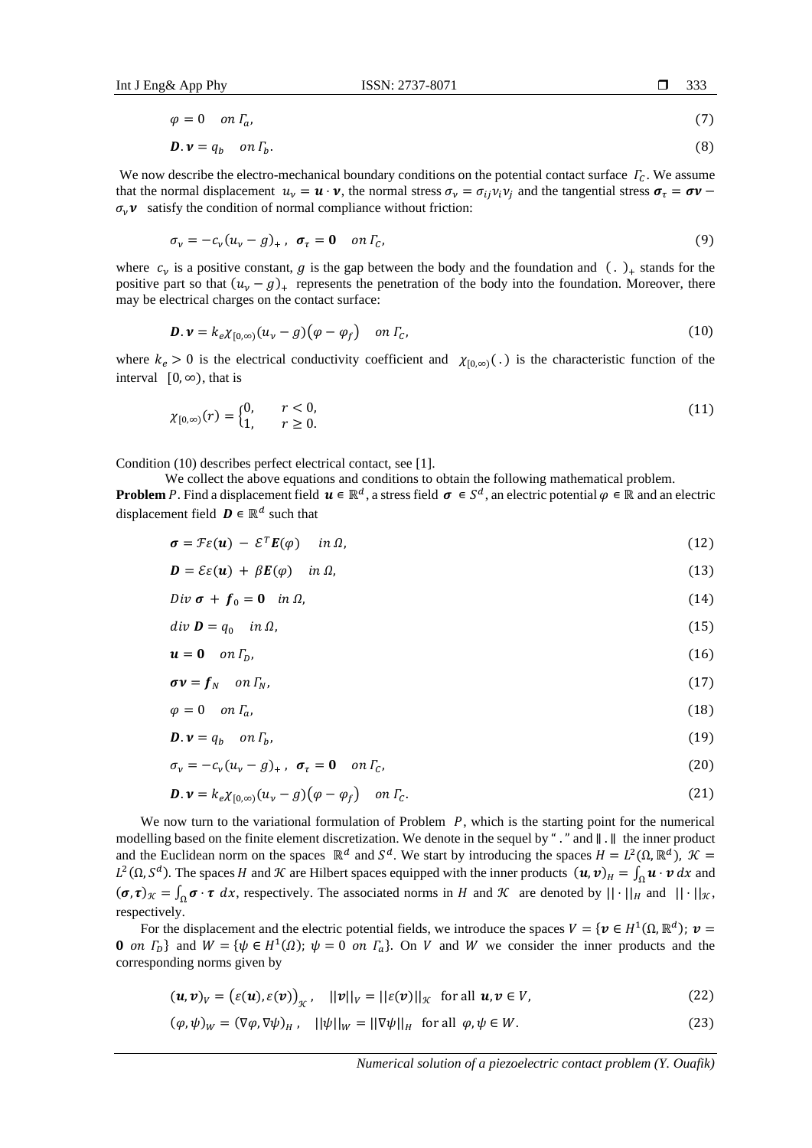$$
\varphi = 0 \quad on \Gamma_a,\tag{7}
$$

$$
\mathbf{D}.\,\mathbf{v} = q_b \quad on \,\Gamma_b. \tag{8}
$$

We now describe the electro-mechanical boundary conditions on the potential contact surface  $\Gamma_c$ . We assume that the normal displacement  $u_v = \mathbf{u} \cdot \mathbf{v}$ , the normal stress  $\sigma_v = \sigma_{ij} v_i v_j$  and the tangential stress  $\sigma_\tau = \sigma \mathbf{v}$  $\sigma_{\nu}$ **v** satisfy the condition of normal compliance without friction:

$$
\sigma_{\nu} = -c_{\nu}(u_{\nu} - g)_{+}, \quad \sigma_{\tau} = \mathbf{0} \quad \text{on } \Gamma_{\mathcal{C}}, \tag{9}
$$

where  $c_v$  is a positive constant, g is the gap between the body and the foundation and  $( \cdot )_+$  stands for the positive part so that  $(u_v - g)_+$  represents the penetration of the body into the foundation. Moreover, there may be electrical charges on the contact surface:

$$
\mathbf{D}.\,\mathbf{v} = k_e \chi_{[0,\infty)}(u_\nu - g)(\varphi - \varphi_f) \quad \text{on } \Gamma_c,
$$
\n<sup>(10)</sup>

where  $k_e > 0$  is the electrical conductivity coefficient and  $\chi_{[0,\infty)}(.)$  is the characteristic function of the interval  $[0, \infty)$ , that is

$$
\chi_{[0,\infty)}(r) = \begin{cases} 0, & r < 0, \\ 1, & r \ge 0. \end{cases}
$$
 (11)

Condition (10) describes perfect electrical contact, see [1].

We collect the above equations and conditions to obtain the following mathematical problem.

**Problem** P. Find a displacement field  $u \in \mathbb{R}^d$ , a stress field  $\sigma \in S^d$ , an electric potential  $\varphi \in \mathbb{R}$  and an electric displacement field  $\mathbf{D} \in \mathbb{R}^d$  such that

$$
\boldsymbol{\sigma} = \mathcal{F}\varepsilon(\boldsymbol{u}) - \mathcal{E}^T \boldsymbol{E}(\varphi) \quad in \ \Omega,
$$
\n(12)

$$
\mathbf{D} = \mathcal{E}\varepsilon(\mathbf{u}) + \beta \mathbf{E}(\varphi) \quad \text{in } \Omega,\tag{13}
$$

$$
Div \boldsymbol{\sigma} + \boldsymbol{f}_0 = \boldsymbol{0} \quad in \Omega, \tag{14}
$$

$$
div \mathbf{D} = q_0 \quad in \Omega, \tag{15}
$$

$$
\mathbf{u} = \mathbf{0} \quad on \Gamma_D,\tag{16}
$$

$$
\sigma \nu = f_N \quad \text{on } \Gamma_N,\tag{17}
$$

$$
\varphi = 0 \quad on \Gamma_a,\tag{18}
$$

$$
\mathbf{D}.\,\mathbf{v} = q_b \quad \text{on } \Gamma_b,\tag{19}
$$

$$
\sigma_{\nu} = -c_{\nu}(u_{\nu} - g)_{+}, \quad \sigma_{\tau} = 0 \quad on \Gamma_{C}, \tag{20}
$$

$$
\mathbf{D}.\,\mathbf{v} = k_e \chi_{[0,\infty)}(u_\nu - g)(\varphi - \varphi_f) \quad \text{on } \Gamma_c. \tag{21}
$$

We now turn to the variational formulation of Problem  $P$ , which is the starting point for the numerical modelling based on the finite element discretization. We denote in the sequel by " ." and ∥ . ∥ the inner product and the Euclidean norm on the spaces  $\mathbb{R}^d$  and  $S^d$ . We start by introducing the spaces  $H = L^2(\Omega, \mathbb{R}^d)$ ,  $\mathcal{K} =$  $L^2(\Omega, S^d)$ . The spaces H and K are Hilbert spaces equipped with the inner products  $(u, v)_H = \int_{\Omega} u \cdot v \, dx$  and  $({\boldsymbol{\sigma}}, {\boldsymbol{\tau}})_{\mathcal{K}} = \int_{\Omega} {\boldsymbol{\sigma}} \cdot {\boldsymbol{\tau}} dx$ , respectively. The associated norms in *H* and *K* are denoted by  $|| \cdot ||_H$  and  $|| \cdot ||_{\mathcal{K}}$ , respectively.

For the displacement and the electric potential fields, we introduce the spaces  $V = \{v \in H^1(\Omega, \mathbb{R}^d) ; v =$ **0** on  $\Gamma_D$ } and  $W = {\psi \in H^1(\Omega)}$ ;  $\psi = 0$  on  $\Gamma_a$ }. On V and W we consider the inner products and the corresponding norms given by

$$
(\boldsymbol{u},\boldsymbol{v})_V = (\varepsilon(\boldsymbol{u}),\varepsilon(\boldsymbol{v}))_{\mathcal{K}}, \quad ||\boldsymbol{v}||_V = ||\varepsilon(\boldsymbol{v})||_{\mathcal{K}} \text{ for all } \boldsymbol{u},\boldsymbol{v} \in V,
$$
 (22)

$$
(\varphi, \psi)_W = (\nabla \varphi, \nabla \psi)_H, \quad ||\psi||_W = ||\nabla \psi||_H \text{ for all } \varphi, \psi \in W. \tag{23}
$$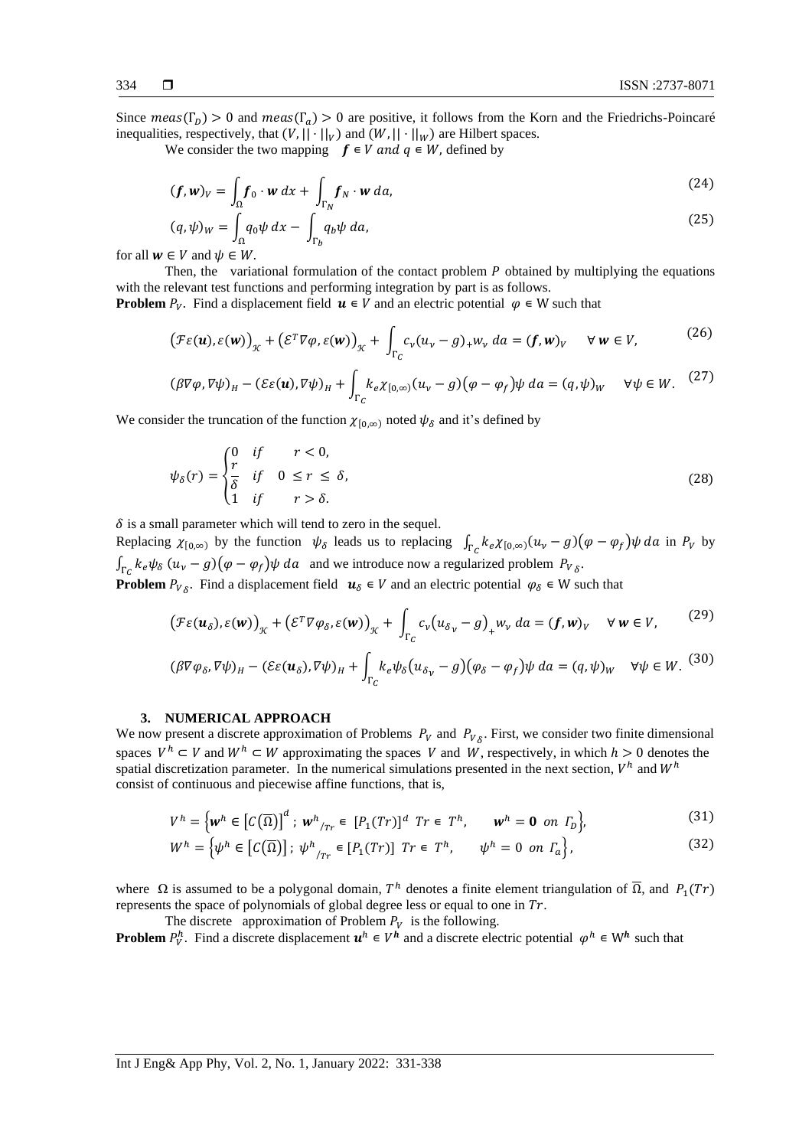Since  $meas(\Gamma_D) > 0$  and  $meas(\Gamma_a) > 0$  are positive, it follows from the Korn and the Friedrichs-Poincaré inequalities, respectively, that  $(V, || \cdot ||_V)$  and  $(W, || \cdot ||_W)$  are Hilbert spaces.

We consider the two mapping  $f \in V$  and  $q \in W$ , defined by

$$
(\boldsymbol{f}, \boldsymbol{w})_V = \int_{\Omega} \boldsymbol{f}_0 \cdot \boldsymbol{w} \, dx + \int_{\Gamma_N} \boldsymbol{f}_N \cdot \boldsymbol{w} \, da,\tag{24}
$$

$$
(q,\psi)_W = \int_{\Omega} q_0 \psi \, dx - \int_{\Gamma_b} q_b \psi \, da,\tag{25}
$$

for all  $w \in V$  and  $\psi \in W$ .

Then, the variational formulation of the contact problem  $P$  obtained by multiplying the equations with the relevant test functions and performing integration by part is as follows.

**Problem**  $P_V$ . Find a displacement field  $\mathbf{u} \in V$  and an electric potential  $\varphi \in W$  such that

$$
\big(\mathcal{F}\varepsilon(\boldsymbol{u}),\varepsilon(\boldsymbol{w})\big)_{\mathcal{K}} + \big(\mathcal{E}^T\nabla\varphi,\varepsilon(\boldsymbol{w})\big)_{\mathcal{K}} + \int_{\Gamma_C} c_v(u_v - g)_+ w_v \, da = (f,\boldsymbol{w})_v \quad \forall \, \boldsymbol{w} \in V,\tag{26}
$$

$$
(\beta \nabla \varphi, \nabla \psi)_H - (\mathcal{E} \varepsilon(\mathbf{u}), \nabla \psi)_H + \int_{\Gamma_C} k_e \chi_{[0,\infty)} (u_\nu - g)(\varphi - \varphi_f) \psi \, da = (q, \psi)_W \quad \forall \psi \in W. \tag{27}
$$

We consider the truncation of the function  $\chi_{[0,\infty)}$  noted  $\psi_{\delta}$  and it's defined by

$$
\psi_{\delta}(r) = \begin{cases}\n0 & \text{if } r < 0, \\
\frac{r}{\delta} & \text{if } 0 \le r \le \delta, \\
1 & \text{if } r > \delta.\n\end{cases}
$$
\n(28)

 $\delta$  is a small parameter which will tend to zero in the sequel.

Replacing  $\chi_{[0,\infty)}$  by the function  $\psi_{\delta}$  leads us to replacing  $\int_{\Gamma_C} k_e \chi_{[0,\infty)} (u_{\nu} - g)(\varphi - \varphi_f) \psi da$  in  $P_V$  by  $\int_{\Gamma_C} k_e \psi_\delta (u_\nu - g) (\varphi - \varphi_f) \psi da$  and we introduce now a regularized problem  $P_{V_\delta}$ . **Problem**  $P_{V_{\delta}}$ . Find a displacement field  $u_{\delta} \in V$  and an electric potential  $\varphi_{\delta} \in W$  such that

$$
\left(\mathcal{F}\varepsilon(\boldsymbol{u}_{\delta}),\varepsilon(\boldsymbol{w})\right)_{\mathcal{K}} + \left(\mathcal{E}^T\nabla\varphi_{\delta},\varepsilon(\boldsymbol{w})\right)_{\mathcal{K}} + \int_{\Gamma_C} c_{\nu}\big(u_{\delta_{\nu}} - g\big)_{+} w_{\nu} da = (\boldsymbol{f},\boldsymbol{w})_{\mathcal{V}} \quad \forall \ \boldsymbol{w} \in V,\tag{29}
$$

$$
(\beta \nabla \varphi_{\delta}, \nabla \psi)_{H} - (\mathcal{E} \varepsilon(\mathbf{u}_{\delta}), \nabla \psi)_{H} + \int_{\Gamma_{C}} k_{e} \psi_{\delta}(u_{\delta_{\nu}} - g)(\varphi_{\delta} - \varphi_{f}) \psi \, da = (q, \psi)_{W} \quad \forall \psi \in W. \tag{30}
$$

### **3. NUMERICAL APPROACH**

We now present a discrete approximation of Problems  $P_V$  and  $P_V$ <sub> $\delta$ </sub>. First, we consider two finite dimensional spaces  $V^h \subset V$  and  $W^h \subset W$  approximating the spaces V and W, respectively, in which  $h > 0$  denotes the spatial discretization parameter. In the numerical simulations presented in the next section,  $V^h$  and  $W^h$ consist of continuous and piecewise affine functions, that is,

$$
V^h = \left\{ \boldsymbol{w}^h \in \left[ C(\overline{\Omega}) \right]^d : \boldsymbol{w}^h \right\}_{T} \in [P_1(Tr)]^d \text{ } Tr \in T^h, \qquad \boldsymbol{w}^h = \boldsymbol{0} \text{ } on \text{ } \Gamma_b \right\}, \tag{31}
$$

$$
W^{h} = \left\{ \psi^{h} \in \left[ C(\overline{\Omega}) \right] ; \ \psi^{h} \right\}_{T} \in \left[ P_{1}(T r) \right] \ T r \in \ T^{h}, \qquad \psi^{h} = 0 \ \ on \ \Gamma_{a} \right\}, \tag{32}
$$

where  $\Omega$  is assumed to be a polygonal domain,  $T^h$  denotes a finite element triangulation of  $\overline{\Omega}$ , and  $P_1(Tr)$ represents the space of polynomials of global degree less or equal to one in  $Tr$ .

The discrete approximation of Problem  $P_V$  is the following.

**Problem**  $P_V^h$ . Find a discrete displacement  $u^h \in V^h$  and a discrete electric potential  $\varphi^h \in W^h$  such that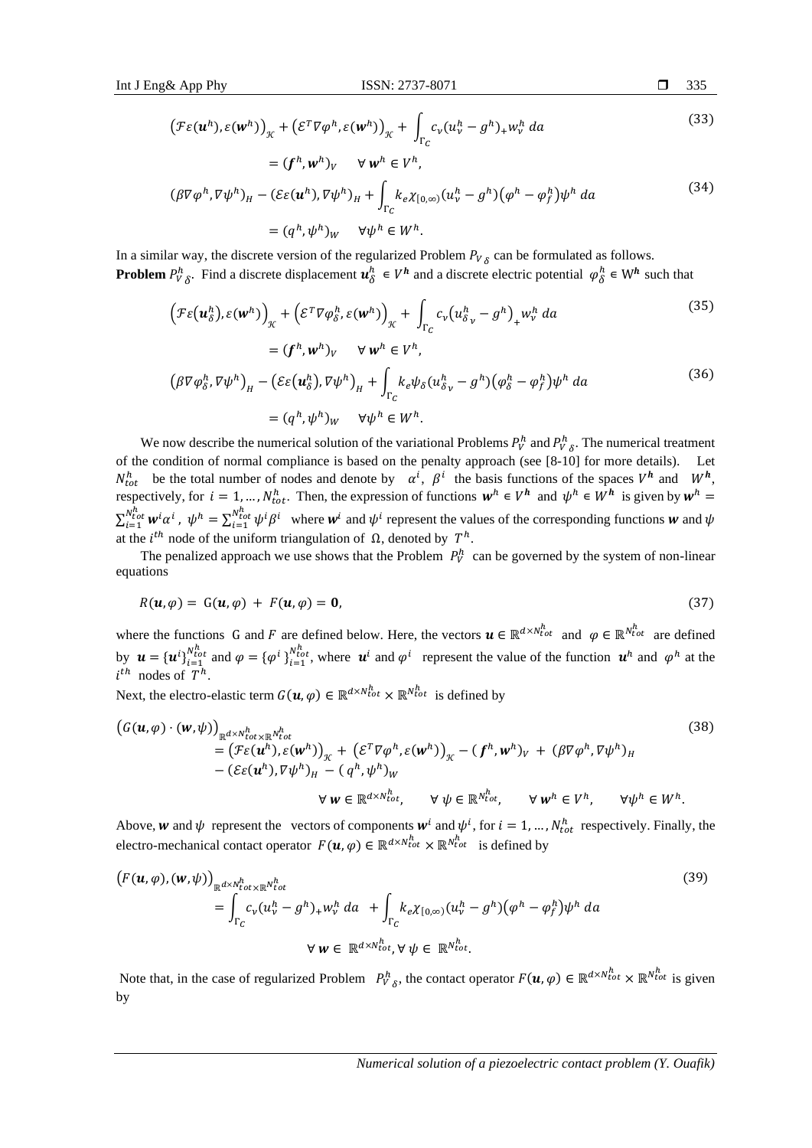$$
\left(\mathcal{F}\varepsilon(\boldsymbol{u}^h),\varepsilon(\boldsymbol{w}^h)\right)_{\mathcal{K}} + \left(\mathcal{E}^T\nabla\varphi^h,\varepsilon(\boldsymbol{w}^h)\right)_{\mathcal{K}} + \int_{\Gamma_C} c_v(u_v^h - g^h)_+ w_v^h \, da \tag{33}
$$

$$
= (f^h, w^h)_v \quad \forall w^h \in V^h,
$$
  

$$
(\beta \nabla \varphi^h, \nabla \psi^h)_H - (\mathcal{E}\varepsilon(u^h), \nabla \psi^h)_H + \int_{\Gamma_C} k_e \chi_{[0,\infty)} (u^h_v - g^h) (\varphi^h - \varphi^h_f) \psi^h \, da
$$
 (34)

$$
= (q^h, \psi^h)_W \quad \forall \psi^h \in W^h.
$$

In a similar way, the discrete version of the regularized Problem  $P_{V_{\delta}}$  can be formulated as follows. **Problem**  $P_V^h$  Find a discrete displacement  $u_\delta^h \in V^h$  and a discrete electric potential  $\varphi_\delta^h \in W^h$  such that

$$
\left(\mathcal{F}\varepsilon\left(\mathbf{u}_{\delta}^{h}\right),\varepsilon\left(\mathbf{w}^{h}\right)\right)_{\mathcal{K}} + \left(\mathcal{E}^{T}\nabla\varphi_{\delta}^{h},\varepsilon\left(\mathbf{w}^{h}\right)\right)_{\mathcal{K}} + \int_{\Gamma_{C}} c_{\nu}\left(u_{\delta_{\nu}}^{h}-g^{h}\right)_{+} w_{\nu}^{h} da
$$
\n
$$
= (f^{h}, w^{h})_{V} \quad \forall w^{h} \in V^{h},
$$
\n
$$
\left(\beta\nabla\varphi_{\delta}^{h}, \nabla\psi^{h}\right)_{H} - \left(\mathcal{E}\varepsilon\left(\mathbf{u}_{\delta}^{h}\right), \nabla\psi^{h}\right)_{H} + \int_{\Gamma_{C}} k_{e}\psi_{\delta}\left(u_{\delta_{\nu}}^{h}-g^{h}\right)\left(\varphi_{\delta}^{h}-\varphi_{f}^{h}\right)\psi^{h} da
$$
\n
$$
= (q^{h}, \psi^{h})_{W} \quad \forall \psi^{h} \in W^{h}.
$$
\n(36)

We now describe the numerical solution of the variational Problems  $P_V^h$  and  $P_V^h$ . The numerical treatment of the condition of normal compliance is based on the penalty approach (see [8-10] for more details). Let  $N_{tot}^h$  be the total number of nodes and denote by  $\alpha^i$ ,  $\beta^i$  the basis functions of the spaces  $V^h$  and  $W^h$ , respectively, for  $i = 1, ..., N_{tot}^h$ . Then, the expression of functions  $w^h \in V^h$  and  $\psi^h \in W^h$  is given by  $w^h =$  $\sum_{i=1}^{N_{tot}^{h}} \boldsymbol{w}^{i} \alpha^{i}$  $v_{i=1}^{h_{tot}^h}$   $w^i \alpha^i$ ,  $\psi^h = \sum_{i=1}^{N_{tot}^h} \psi^i \beta^i$  where  $w^i$  and  $\psi^i$  represent the values of the corresponding functions w and  $\psi$ at the *i*<sup>th</sup> node of the uniform triangulation of  $\Omega$ , denoted by  $T^h$ .

The penalized approach we use shows that the Problem  $P_V^h$  can be governed by the system of non-linear equations

$$
R(\mathbf{u},\varphi) = G(\mathbf{u},\varphi) + F(\mathbf{u},\varphi) = \mathbf{0},\tag{37}
$$

where the functions G and F are defined below. Here, the vectors  $u \in \mathbb{R}^{d \times N_{tot}^h}$  and  $\varphi \in \mathbb{R}^{N_{tot}^h}$  are defined by  $\mathbf{u} = {\mathbf{u}^i}_{i=1}^{N_{tot}^h}$  and  $\varphi = {\varphi^i}_{i=1}^{N_{tot}^h}$ , where  $\mathbf{u}^i$  and  $\varphi^i$  represent the value of the function  $\mathbf{u}^h$  and  $\varphi^h$  at the  $i^{th}$  nodes of  $T^h$ .

Next, the electro-elastic term  $G(u, \varphi) \in \mathbb{R}^{d \times N_{tot}^h} \times \mathbb{R}^{N_{tot}^h}$  is defined by

$$
(G(\mathbf{u}, \varphi) \cdot (\mathbf{w}, \psi))_{\mathbb{R}^{d \times N_{tot}^h} \times \mathbb{R}^{N_{tot}^h}} = (F\varepsilon(\mathbf{u}^h), \varepsilon(\mathbf{w}^h))_{\mathcal{H}} + (\varepsilon^T \nabla \varphi^h, \varepsilon(\mathbf{w}^h))_{\mathcal{H}} - (f^h, \mathbf{w}^h)_{V} + (\beta \nabla \varphi^h, \nabla \psi^h)_{H}
$$
  
-  $(\varepsilon \varepsilon(\mathbf{u}^h), \nabla \psi^h)_{H} - (q^h, \psi^h)_{W}$   

$$
\forall \mathbf{w} \in \mathbb{R}^{d \times N_{tot}^h}, \qquad \forall \psi \in \mathbb{R}^{N_{tot}^h}, \qquad \forall \mathbf{w}^h \in V^h, \qquad \forall \psi^h \in W^h.
$$
 (38)

Above, w and  $\psi$  represent the vectors of components  $w^i$  and  $\psi^i$ , for  $i = 1, ..., N_{tot}^h$  respectively. Finally, the electro-mechanical contact operator  $F(\mathbf{u}, \varphi) \in \mathbb{R}^{d \times N_{tot}^h} \times \mathbb{R}^{N_{tot}^h}$  is defined by

$$
(F(\mathbf{u},\varphi),(\mathbf{w},\psi))_{\mathbb{R}^{d\times N_{tot}^h\times \mathbb{R}^{N_{tot}^h}}}= \int_{\Gamma_C} c_{\nu} (u_{\nu}^h - g^h)_{+} w_{\nu}^h da + \int_{\Gamma_C} k_e \chi_{[0,\infty)} (u_{\nu}^h - g^h) (\varphi^h - \varphi_f^h) \psi^h da
$$
  

$$
\forall \mathbf{w} \in \mathbb{R}^{d\times N_{tot}^h}, \forall \psi \in \mathbb{R}^{N_{tot}^h}.
$$
 (39)

Note that, in the case of regularized Problem  $P_{V_\delta}^h$ , the contact operator  $F(\mathbf{u}, \varphi) \in \mathbb{R}^{d \times N_{tot}^h} \times \mathbb{R}^{N_{tot}^h}$  is given by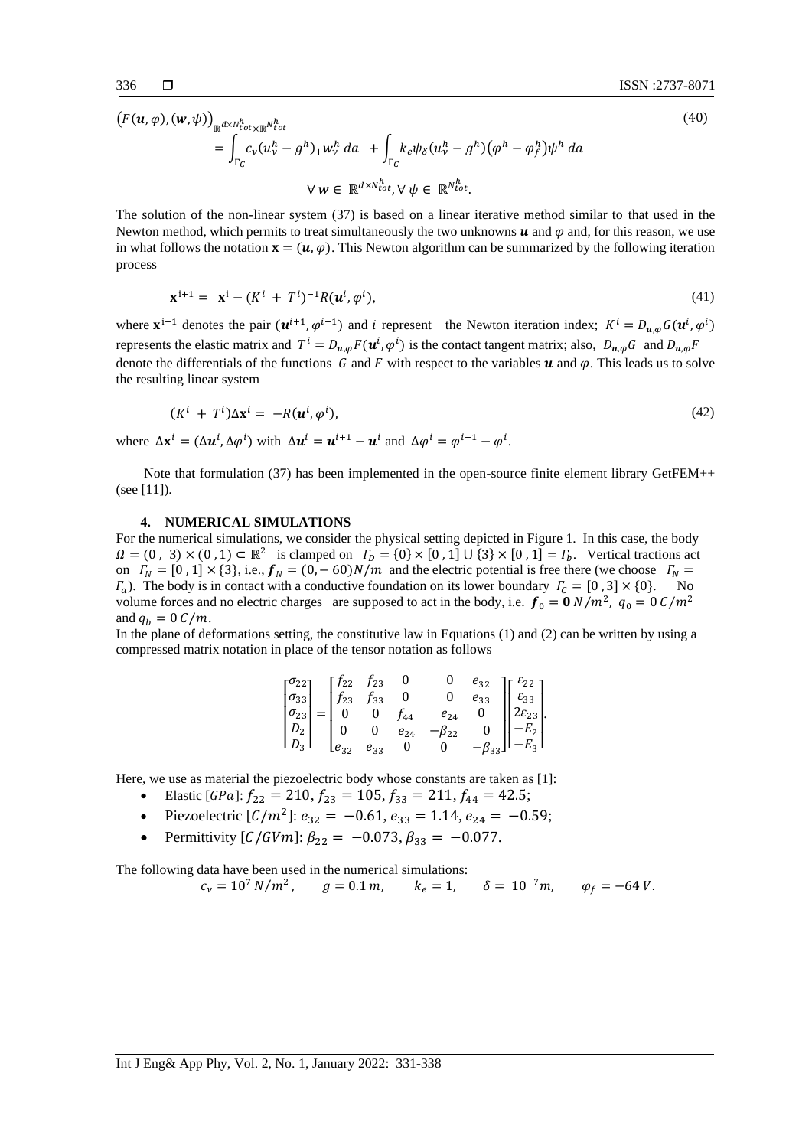(40)

$$
(F(\mathbf{u},\varphi),(\mathbf{w},\psi))_{\mathbb{R}^{d\times N_{tot}^h}\times\mathbb{R}^{N_{tot}^h}} = \int_{\Gamma_C} c_{\nu} (u_{\nu}^h - g^h)_{+} w_{\nu}^h da + \int_{\Gamma_C} k_e \psi_{\delta} (u_{\nu}^h - g^h) (\varphi^h - \varphi_f^h) \psi^h da
$$
  

$$
\forall \mathbf{w} \in \mathbb{R}^{d\times N_{tot}^h}, \forall \psi \in \mathbb{R}^{N_{tot}^h}.
$$

The solution of the non-linear system (37) is based on a linear iterative method similar to that used in the Newton method, which permits to treat simultaneously the two unknowns  $\boldsymbol{u}$  and  $\varphi$  and, for this reason, we use in what follows the notation  $\mathbf{x} = (\mathbf{u}, \varphi)$ . This Newton algorithm can be summarized by the following iteration process

$$
\mathbf{x}^{i+1} = \mathbf{x}^i - (K^i + T^i)^{-1} R(\mathbf{u}^i, \varphi^i), \tag{41}
$$

where  $\mathbf{x}^{i+1}$  denotes the pair  $(\mathbf{u}^{i+1}, \varphi^{i+1})$  and i represent the Newton iteration index;  $K^i = D_{\mathbf{u},\varphi} G(\mathbf{u}^i, \varphi^i)$ represents the elastic matrix and  $T^i = D_{u,\varphi} F(u^i, \varphi^i)$  is the contact tangent matrix; also,  $D_{u,\varphi} G$  and  $D_{u,\varphi} F$ denote the differentials of the functions G and F with respect to the variables  $u$  and  $\varphi$ . This leads us to solve the resulting linear system

$$
(Ki + Ti)\Delta xi = -R(ui, \varphii), \qquad (42)
$$

where  $\Delta \mathbf{x}^i = (\Delta \mathbf{u}^i, \Delta \varphi^i)$  with  $\Delta \mathbf{u}^i = \mathbf{u}^{i+1} - \mathbf{u}^i$  and  $\Delta \varphi^i = \varphi^{i+1} - \varphi^i$ .

Note that formulation (37) has been implemented in the open-source finite element library GetFEM++ (see [11]).

# **4. NUMERICAL SIMULATIONS**

For the numerical simulations, we consider the physical setting depicted in Figure 1. In this case, the body  $\Omega = (0, 3) \times (0, 1) \subset \mathbb{R}^2$  is clamped on  $\Gamma_D = \{0\} \times [0, 1] \cup \{3\} \times [0, 1] = \Gamma_D$ . Vertical tractions act on  $\Gamma_N = [0, 1] \times \{3\}$ , i.e.,  $f_N = (0, -60)N/m$  and the electric potential is free there (we choose  $\Gamma_N =$  $\Gamma_a$ ). The body is in contact with a conductive foundation on its lower boundary  $\Gamma_c = [0, 3] \times \{0\}$ . No volume forces and no electric charges are supposed to act in the body, i.e.  $f_0 = 0 N/m^2$ ,  $q_0 = 0 C/m^2$ and  $q_b = 0 \, \text{C/m}$ .

In the plane of deformations setting, the constitutive law in Equations (1) and (2) can be written by using a compressed matrix notation in place of the tensor notation as follows

|                                                                                                                                                                                                 |                    | $\begin{bmatrix} \sigma_{22} \\ \sigma_{23} \end{bmatrix}$ $\begin{bmatrix} f_{22} & f_{23} \\ \sigma_{23} & \sigma_{23} \end{bmatrix}$ |          |               |               |                                                                                                                                                                                                                        |
|-------------------------------------------------------------------------------------------------------------------------------------------------------------------------------------------------|--------------------|-----------------------------------------------------------------------------------------------------------------------------------------|----------|---------------|---------------|------------------------------------------------------------------------------------------------------------------------------------------------------------------------------------------------------------------------|
| $\begin{bmatrix} \sigma_{33} \\ \sigma_{33} \\ \sigma_{23} \\ D_2 \\ D_3 \end{bmatrix} = \begin{bmatrix} f_{23} & f_{33} \\ f_{23} & f_{33} \\ 0 & 0 \\ 0 & 0 \\ e_{32} & e_{33} \end{bmatrix}$ |                    |                                                                                                                                         |          |               |               |                                                                                                                                                                                                                        |
|                                                                                                                                                                                                 |                    |                                                                                                                                         | $f_{44}$ |               |               |                                                                                                                                                                                                                        |
|                                                                                                                                                                                                 |                    |                                                                                                                                         | $e_{24}$ | $-\beta_{22}$ |               |                                                                                                                                                                                                                        |
|                                                                                                                                                                                                 | $\mathsf{L}e_{32}$ |                                                                                                                                         |          | $e_{33}$ 0 0  | $-\beta_{33}$ | $\begin{bmatrix} 0 & e_{32} \\ 0 & e_{33} \\ e_{24} & 0 \\ \beta_{22} & 0 \\ 0 & -\beta_{33} \end{bmatrix} \begin{bmatrix} \varepsilon_{22} \\ \varepsilon_{33} \\ 2\varepsilon_{23} \\ -E_2 \\ -E_3 \end{bmatrix}\!.$ |

Here, we use as material the piezoelectric body whose constants are taken as [1]:

- Elastic [GPa]:  $f_{22} = 210$ ,  $f_{23} = 105$ ,  $f_{33} = 211$ ,  $f_{44} = 42.5$ ;
- Piezoelectric  $[C/m^2]$ :  $e_{32} = -0.61$ ,  $e_{33} = 1.14$ ,  $e_{24} = -0.59$ ;
- Permittivity  $[C/GVm]$ :  $\beta_{22} = -0.073$ ,  $\beta_{33} = -0.077$ .

The following data have been used in the numerical simulations:

$$
c_v = 10^7 N/m^2
$$
,  $g = 0.1 m$ ,  $k_e = 1$ ,  $\delta = 10^{-7} m$ ,  $\varphi_f = -64 V$ .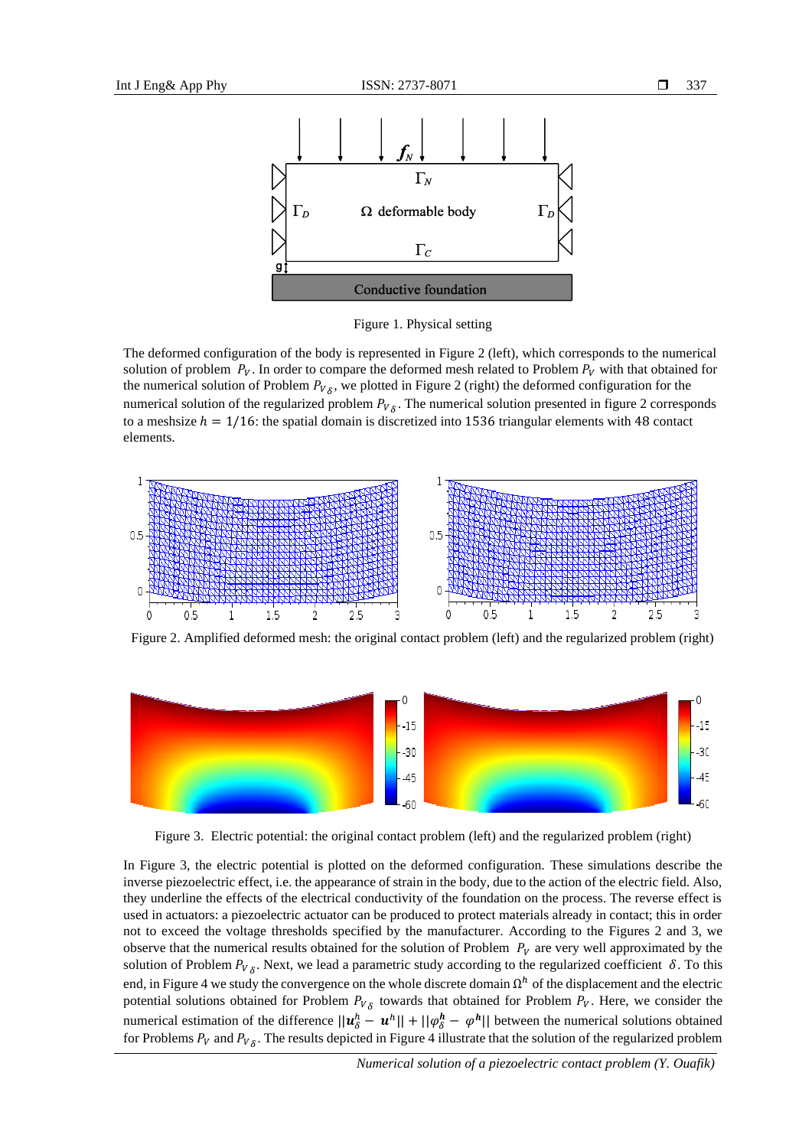

Figure 1. Physical setting

The deformed configuration of the body is represented in Figure 2 (left), which corresponds to the numerical solution of problem  $P_V$ . In order to compare the deformed mesh related to Problem  $P_V$  with that obtained for the numerical solution of Problem  $P_{V_\delta}$ , we plotted in Figure 2 (right) the deformed configuration for the numerical solution of the regularized problem  $P_{V_{\delta}}$ . The numerical solution presented in figure 2 corresponds to a meshsize  $h = 1/16$ : the spatial domain is discretized into 1536 triangular elements with 48 contact elements.



Figure 2. Amplified deformed mesh: the original contact problem (left) and the regularized problem (right)



Figure 3. Electric potential: the original contact problem (left) and the regularized problem (right)

In Figure 3, the electric potential is plotted on the deformed configuration. These simulations describe the inverse piezoelectric effect, i.e. the appearance of strain in the body, due to the action of the electric field. Also, they underline the effects of the electrical conductivity of the foundation on the process. The reverse effect is used in actuators: a piezoelectric actuator can be produced to protect materials already in contact; this in order not to exceed the voltage thresholds specified by the manufacturer. According to the Figures 2 and 3, we observe that the numerical results obtained for the solution of Problem  $P_V$  are very well approximated by the solution of Problem  $P_{V_{\delta}}$ . Next, we lead a parametric study according to the regularized coefficient  $\delta$ . To this end, in Figure 4 we study the convergence on the whole discrete domain  $\Omega^h$  of the displacement and the electric potential solutions obtained for Problem  $P_{V\delta}$  towards that obtained for Problem  $P_V$ . Here, we consider the numerical estimation of the difference  $||u_{\delta}^{h} - u^{h}|| + ||\varphi_{\delta}^{h} - \varphi^{h}||$  between the numerical solutions obtained for Problems  $P_V$  and  $P_V$ <sub> $\delta$ </sub>. The results depicted in Figure 4 illustrate that the solution of the regularized problem